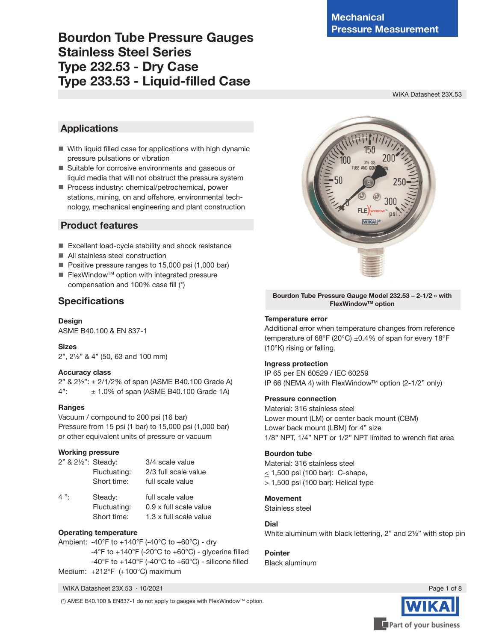### **Bourdon Tube Pressure Gauges Stainless Steel Series Type 232.53 - Dry Case Type 233.53 - Liquid-filled Case**

WIKA Datasheet 23X.53

### **Applications**

- With liquid filled case for applications with high dynamic pressure pulsations or vibration
- Suitable for corrosive environments and gaseous or liquid media that will not obstruct the pressure system
- Process industry: chemical/petrochemical, power stations, mining, on and offshore, environmental technology, mechanical engineering and plant construction

### **Product features**

- Excellent load-cycle stability and shock resistance
- All stainless steel construction
- Positive pressure ranges to 15,000 psi (1,000 bar)
- $\blacksquare$  FlexWindow<sup>™</sup> option with integrated pressure compensation and 100% case fill (\*)

### **Specifications**

**Design** ASME B40.100 & EN 837-1

#### **Sizes**

2", 2½" & 4" (50, 63 and 100 mm)

#### **Accuracy class**

2" & 2½": ± 2/1/2% of span (ASME B40.100 Grade A)  $4"$ :  $\pm 1.0\%$  of span (ASME B40.100 Grade 1A)

#### **Ranges**

Vacuum / compound to 200 psi (16 bar) Pressure from 15 psi (1 bar) to 15,000 psi (1,000 bar) or other equivalent units of pressure or vacuum

#### **Working pressure**

| 2" & 2½": Steady: |              | 3/4 scale value      |
|-------------------|--------------|----------------------|
|                   | Fluctuating: | 2/3 full scale value |
|                   | Short time:  | full scale value     |

4": Steady: full scale value Fluctuating: 0.9 x full scale value Short time: 1.3 x full scale value

#### **Operating temperature**

Ambient: -40°F to +140°F (-40°C to +60°C) - dry  $-4^{\circ}$ F to  $+140^{\circ}$ F (-20 $^{\circ}$ C to  $+60^{\circ}$ C) - glycerine filled -40°F to  $+140$ °F (-40°C to  $+60$ °C) - silicone filled Medium: +212°F (+100°C) maximum



**Bourdon Tube Pressure Gauge Model 232.53 – 2-1/2 » with FlexWindowTM option**

#### **Temperature error**

Additional error when temperature changes from reference temperature of 68°F (20°C) ±0.4% of span for every 18°F (10°K) rising or falling.

#### **Ingress protection**

IP 65 per EN 60529 / IEC 60259 IP 66 (NEMA 4) with FlexWindow™ option (2-1/2" only)

#### **Pressure connection**

Material: 316 stainless steel Lower mount (LM) or center back mount (CBM) Lower back mount (LBM) for 4" size 1/8" NPT, 1/4" NPT or 1/2" NPT limited to wrench flat area

#### **Bourdon tube**

Material: 316 stainless steel  $\leq$  1,500 psi (100 bar): C-shape, > 1,500 psi (100 bar): Helical type

#### **Movement**

Stainless steel

#### **Dial**

White aluminum with black lettering, 2" and 2½" with stop pin

#### **Pointer** Black aluminum

WIKA Datasheet 23X.53 · 10/2021 Page 1 of 8

(\*) AMSE B40.100 & EN837-1 do not apply to gauges with FlexWindowTM option.

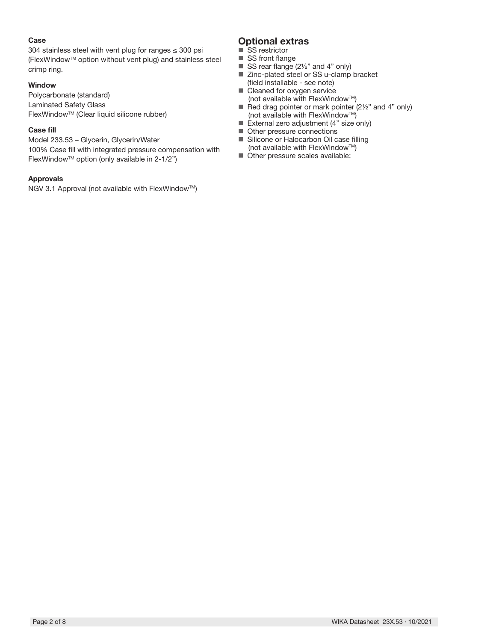#### **Case**

304 stainless steel with vent plug for ranges ≤ 300 psi (FlexWindowTM option without vent plug) and stainless steel crimp ring.

#### **Window**

Polycarbonate (standard) Laminated Safety Glass FlexWindowTM (Clear liquid silicone rubber)

#### **Case fill**

Model 233.53 – Glycerin, Glycerin/Water 100% Case fill with integrated pressure compensation with FlexWindowTM option (only available in 2-1/2")

#### **Approvals**

NGV 3.1 Approval (not available with FlexWindow™)

### **Optional extras**

- SS restrictor
- SS front flange
- SS rear flange (2½" and 4" only) ■ Zinc-plated steel or SS u-clamp bracket
- (field installable see note) ■ Cleaned for oxygen service
- (not available with FlexWindow™) Red drag pointer or mark pointer  $(2\frac{1}{2}\pi)$  and 4" only) (not available with FlexWindow™)
- External zero adjustment (4" size only)
- Other pressure connections
- Silicone or Halocarbon Oil case filling (not available with FlexWindow™)
- Other pressure scales available: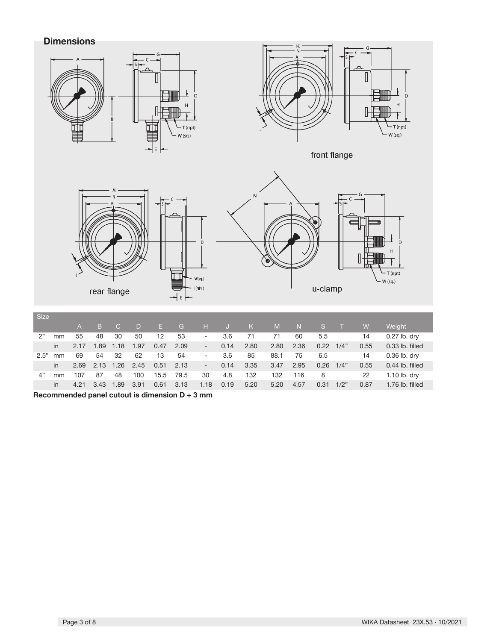**Dimensions**



**Recommended panel cutout is dimension D + 3 mm**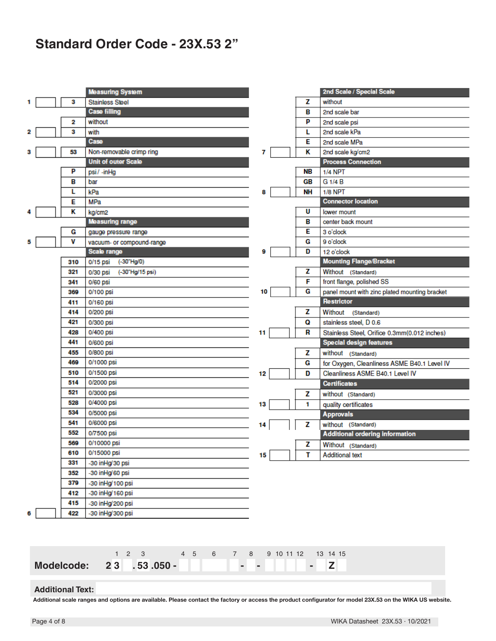## **Standard Order Code - 23X.53 2"**

|   |     | <b>Measuring System</b>            |    |           | 2nd Scale / Special Scale                     |
|---|-----|------------------------------------|----|-----------|-----------------------------------------------|
|   | з   | <b>Stainless Steel</b>             |    | z         | without                                       |
|   |     | <b>Case filling</b>                |    | в         | 2nd scale bar                                 |
|   | 2   | without                            |    | P         | 2nd scale psi                                 |
| 2 | з   | with                               |    | L         | 2nd scale kPa                                 |
|   |     | Case                               |    | Е         | 2nd scale MPa                                 |
|   | 53  | Non-removable crimp ring           | 7  | Κ         | 2nd scale kg/cm2                              |
|   |     | <b>Unit of outer Scale</b>         |    |           | <b>Process Connection</b>                     |
|   | P   | psi/-inHg                          |    | <b>NB</b> | <b>1/4 NPT</b>                                |
|   | в   | bar                                |    | <b>GB</b> | G 1/4 B                                       |
|   | L   | kPa                                | 8  | <b>NH</b> | <b>1/8 NPT</b>                                |
|   | Е   | <b>MPa</b>                         |    |           | <b>Connector location</b>                     |
|   | κ   | kg/cm2                             |    | U         | lower mount                                   |
|   |     | <b>Measuring range</b>             |    | в         | center back mount                             |
|   | G   | gauge pressure range               |    | Е         | 3 o'clock                                     |
| 5 | v   | vacuum- or compound-range          |    | G         | 9 o'clock                                     |
|   |     | Scale range                        | 9  | D         | 12 o'clock                                    |
|   | 310 | $(-30^{\circ}$ Hg/0)<br>$0/15$ psi |    |           | <b>Mounting Flange/Bracket</b>                |
|   | 321 | (-30"Hg/15 psi)<br>0/30 psi        |    | z         | Without (Standard)                            |
|   | 341 | 0/60 psi                           |    | F         | front flange, polished SS                     |
|   | 369 | 0/100 psi                          | 10 | G         | panel mount with zinc plated mounting bracket |
|   | 411 | 0/160 psi                          |    |           | Restrictor                                    |
|   | 414 | 0/200 psi                          |    | z         | Without (Standard)                            |
|   | 421 | 0/300 psi                          |    | Q         | stainless steel, D 0.6                        |
|   | 428 | 0/400 psi                          | 11 | R         | Stainless Steel, Orifice 0.3mm(0.012 inches)  |
|   | 441 | 0/600 psi                          |    |           | <b>Special design features</b>                |
|   | 455 | 0/800 psi                          |    | z         | without (Standard)                            |
|   | 469 | 0/1000 psi                         |    | G         | for Oxygen, Cleanliness ASME B40.1 Level IV   |
|   | 510 | 0/1500 psi                         | 12 | D         | Cleanliness ASME B40.1 Level IV               |
|   | 514 | 0/2000 psi                         |    |           | <b>Certificates</b>                           |
|   | 521 | 0/3000 psi                         |    | z         | without (Standard)                            |
|   | 528 | 0/4000 psi                         | 13 | 1         | quality certificates                          |
|   | 534 | 0/5000 psi                         |    |           | <b>Approvals</b>                              |
|   | 541 | 0/6000 psi                         | 14 | z         | without (Standard)                            |
|   | 552 | 0/7500 psi                         |    |           | <b>Additional ordering information</b>        |
|   | 569 | 0/10000 psi                        |    | z         | Without (Standard)                            |
|   | 610 | 0/15000 psi                        | 15 | т         | <b>Additional text</b>                        |
|   | 331 | -30 inHg/30 psi                    |    |           |                                               |
|   | 352 | -30 in Hg/60 psi                   |    |           |                                               |
|   | 379 | -30 in Hg/100 psi                  |    |           |                                               |
|   | 412 | -30 inHg/160 psi                   |    |           |                                               |
|   | 415 | -30 inHg/200 psi                   |    |           |                                               |
| 6 | 422 | -30 inHg/300 psi                   |    |           |                                               |

|                                     |  | $1 \t2 \t3 \t4 \t5 \t6 \t7 \t8 \t9 \t10 \t11 \t12 \t13 \t14 \t15$ |  |  |  |  |  |  |
|-------------------------------------|--|-------------------------------------------------------------------|--|--|--|--|--|--|
| Modelcode: 23 .53.050 - - -     - Z |  |                                                                   |  |  |  |  |  |  |
| <b>Additional Text:</b>             |  |                                                                   |  |  |  |  |  |  |

**Additional scale ranges and options are available. Please contact the factory or access the product configurator for model 23X.53 on the WIKA US website.**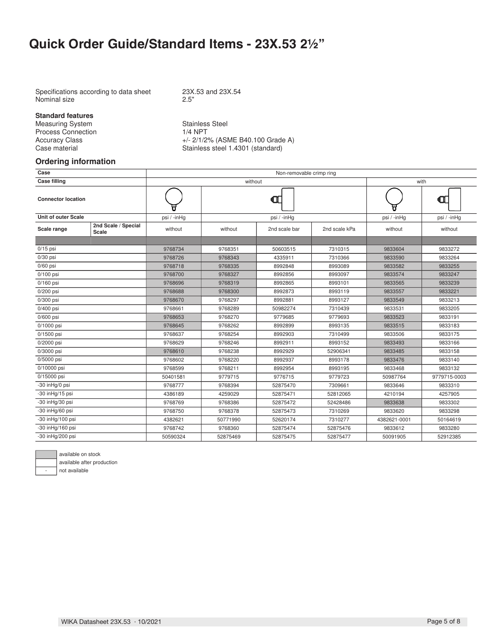## **Quick Order Guide/Standard Items - 23X.53 21/2"**

Specifications according to data sheet 23X.53 and 23X.54<br>Nominal size 2.5" Nominal size

**Standard features**

Measuring System Stainless Steel<br>Process Connection 1/4 NPT Process Connection

Accuracy Class  $+/- 2/1/2%$  (ASME B40.100 Grade A)<br>Case material Stainless steel 1.4301 (standard) Stainless steel 1.4301 (standard)

#### **Ordering information**

| Case                       |                              |             |          | Non-removable crimp ring |               |              |              |  |  |  |  |  |  |
|----------------------------|------------------------------|-------------|----------|--------------------------|---------------|--------------|--------------|--|--|--|--|--|--|
| <b>Case filling</b>        |                              |             | without  |                          |               | with         |              |  |  |  |  |  |  |
| <b>Connector location</b>  |                              |             |          | Œ                        |               |              | $\mathbf u$  |  |  |  |  |  |  |
| <b>Unit of outer Scale</b> |                              | psi / -inHg |          | psi / -inHg              |               | psi / -inHg  | psi / -inHg  |  |  |  |  |  |  |
| Scale range                | 2nd Scale / Special<br>Scale | without     | without  | 2nd scale bar            | 2nd scale kPa | without      | without      |  |  |  |  |  |  |
| $0/15$ psi                 |                              | 9768734     | 9768351  | 50603515                 | 7310315       | 9833604      | 9833272      |  |  |  |  |  |  |
| $0/30$ psi                 |                              | 9768726     | 9768343  | 4335911                  | 7310366       | 9833590      | 9833264      |  |  |  |  |  |  |
| $0/60$ psi                 |                              | 9768718     | 9768335  | 8992848                  | 8993089       | 9833582      | 9833255      |  |  |  |  |  |  |
| $0/100$ psi                |                              | 9768700     | 9768327  | 8992856                  | 8993097       | 9833574      | 9833247      |  |  |  |  |  |  |
| $0/160$ psi                |                              | 9768696     | 9768319  | 8992865                  | 8993101       | 9833565      | 9833239      |  |  |  |  |  |  |
| $0/200$ psi                |                              | 9768688     | 9768300  | 8992873                  | 8993119       | 9833557      | 9833221      |  |  |  |  |  |  |
| $0/300$ psi                |                              | 9768670     | 9768297  | 8992881                  | 8993127       | 9833549      | 9833213      |  |  |  |  |  |  |
| 0/400 psi                  |                              | 9768661     | 9768289  | 50982274                 | 7310439       | 9833531      | 9833205      |  |  |  |  |  |  |
| 0/600 psi                  |                              | 9768653     | 9768270  | 9779685                  | 9779693       | 9833523      | 9833191      |  |  |  |  |  |  |
| 0/1000 psi                 |                              | 9768645     | 9768262  | 8992899                  | 8993135       | 9833515      | 9833183      |  |  |  |  |  |  |
| 0/1500 psi                 |                              | 9768637     | 9768254  | 8992903                  | 7310499       | 9833506      | 9833175      |  |  |  |  |  |  |
| 0/2000 psi                 |                              | 9768629     | 9768246  | 8992911                  | 8993152       | 9833493      | 9833166      |  |  |  |  |  |  |
| 0/3000 psi                 |                              | 9768610     | 9768238  | 8992929                  | 52906341      | 9833485      | 9833158      |  |  |  |  |  |  |
| 0/5000 psi                 |                              | 9768602     | 9768220  | 8992937                  | 8993178       | 9833476      | 9833140      |  |  |  |  |  |  |
| 0/10000 psi                |                              | 9768599     | 9768211  | 8992954                  | 8993195       | 9833468      | 9833132      |  |  |  |  |  |  |
| 0/15000 psi                |                              | 50401581    | 9779715  | 9776715                  | 9779723       | 50987764     | 9779715-0003 |  |  |  |  |  |  |
| -30 inHg/0 psi             |                              | 9768777     | 9768394  | 52875470                 | 7309661       | 9833646      | 9833310      |  |  |  |  |  |  |
| -30 inHg/15 psi            |                              | 4386189     | 4259029  | 52875471                 | 52812065      | 4210194      | 4257905      |  |  |  |  |  |  |
| -30 inHg/30 psi            |                              | 9768769     | 9768386  | 52875472                 | 52428486      | 9833638      | 9833302      |  |  |  |  |  |  |
| -30 inHg/60 psi            |                              | 9768750     | 9768378  | 52875473                 | 7310269       | 9833620      | 9833298      |  |  |  |  |  |  |
| -30 inHg/100 psi           |                              | 4382621     | 50771990 | 52620174                 | 7310277       | 4382621-0001 | 50164619     |  |  |  |  |  |  |
| -30 inHg/160 psi           |                              | 9768742     | 9768360  | 52875474                 | 52875476      | 9833612      | 9833280      |  |  |  |  |  |  |
| -30 inHg/200 psi           |                              | 50590324    | 52875469 | 52875475                 | 52875477      | 50091905     | 52912385     |  |  |  |  |  |  |



available on stock available after production

- not available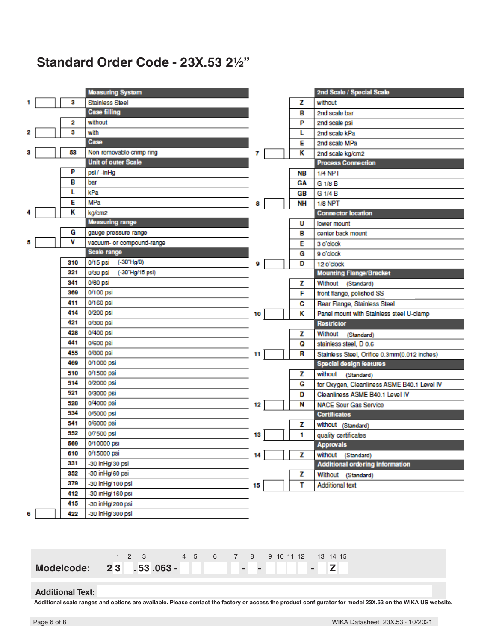## **Standard Order Code - 23X.53 21/2"**

|   |     | <b>Measuring System</b>     |    |    | 2nd Scale / Special Scale                    |
|---|-----|-----------------------------|----|----|----------------------------------------------|
|   | 3   | <b>Stainless Steel</b>      |    | z  | without                                      |
|   |     | <b>Case filling</b>         |    | в  | 2nd scale bar                                |
|   | 2   | without                     |    | P  | 2nd scale psi                                |
| 2 | з   | with                        |    | L  | 2nd scale kPa                                |
|   |     | Case                        |    | E  | 2nd scale MPa                                |
|   | 53  | Non-removable crimp ring    | 7  | κ  | 2nd scale kg/cm2                             |
|   |     | <b>Unit of outer Scale</b>  |    |    | <b>Process Connection</b>                    |
|   | P   | psi/-inHg                   |    | NB | <b>1/4 NPT</b>                               |
|   | в   | bar                         |    | GА | G 1/8 B                                      |
|   | L   | kPa                         |    | GB | G 1/4 B                                      |
|   | E   | MPa                         | 8  | NΗ | $1/8$ NPT                                    |
|   | κ   | kg/cm2                      |    |    | <b>Connector location</b>                    |
|   |     | <b>Measuring range</b>      |    | U  | lower mount                                  |
|   | G   | gauge pressure range        |    | в  | center back mount                            |
|   | ۷   | vacuum- or compound-range   |    | Е  | 3 o'clock                                    |
|   |     | Scale range                 |    | G  | 9 o'clock                                    |
|   | 310 | $0/15$ psi<br>(-30"Hg/0)    | 9  | D  | 12 o'clock                                   |
|   | 321 | 0/30 psi<br>(-30"Hg/15 psi) |    |    | <b>Mounting Flange/Bracket</b>               |
|   | 341 | 0/60 psi                    |    | z  | Without (Standard)                           |
|   | 369 | 0/100 psi                   |    | F  | front flange, polished SS                    |
|   | 411 | 0/160 psi                   |    | c  | Rear Flange, Stainless Steel                 |
|   | 414 | 0/200 psi                   | 10 | κ  | Panel mount with Stainless steel U-clamp     |
|   | 421 | 0/300 psi                   |    |    | <b>Restrictor</b>                            |
|   | 428 | 0/400 psi                   |    | z  | Without<br>(Standard)                        |
|   | 441 | 0/600 psi                   |    | Q  | stainless steel, D 0.6                       |
|   | 455 | 0/800 psi                   | 11 | R  | Stainless Steel, Orifice 0.3mm(0.012 inches) |
|   | 469 | 0/1000 psi                  |    |    | <b>Special design features</b>               |
|   | 510 | 0/1500 psi                  |    | z  | without<br>(Standard)                        |
|   | 514 | 0/2000 psi                  |    | G  | for Oxygen, Cleanliness ASME B40.1 Level IV  |
|   | 521 | 0/3000 psi                  |    | D  | Cleanliness ASME B40.1 Level IV              |
|   | 528 | 0/4000 psi                  | 12 | N  | <b>NACE Sour Gas Service</b>                 |
|   | 534 | 0/5000 psi                  |    |    | <b>Certificates</b>                          |
|   | 541 | 0/6000 psi                  |    | z  | without (Standard)                           |
|   | 552 | 0/7500 psi                  | 13 | 1  | quality certificates                         |
|   | 569 | 0/10000 psi                 |    |    | <b>Approvals</b>                             |
|   | 610 | 0/15000 psi                 | 14 | z  | without (Standard)                           |
|   | 331 | -30 inHg/30 psi             |    |    | <b>Additional ordering information</b>       |
|   | 352 | -30 in Hg/60 psi            |    | Z  | Without (Standard)                           |
|   | 379 | -30 in Hg/100 psi           | 15 | т  | <b>Additional text</b>                       |
|   | 412 | -30 in Hg/160 psi           |    |    |                                              |
|   | 415 | -30 inHg/200 psi            |    |    |                                              |
|   | 422 | -30 in Hg/300 psi           |    |    |                                              |
|   |     |                             |    |    |                                              |

|                                 | 123 |  | 4 5 6 7 8 9 10 11 12 13 14 15 |  |  |  |  |  |
|---------------------------------|-----|--|-------------------------------|--|--|--|--|--|
| Modelcode: 23 .53.063 - 1 - 1 2 |     |  |                               |  |  |  |  |  |

#### **Additional Text:**

**Additional scale ranges and options are available. Please contact the factory or access the product configurator for model 23X.53 on the WIKA US website.**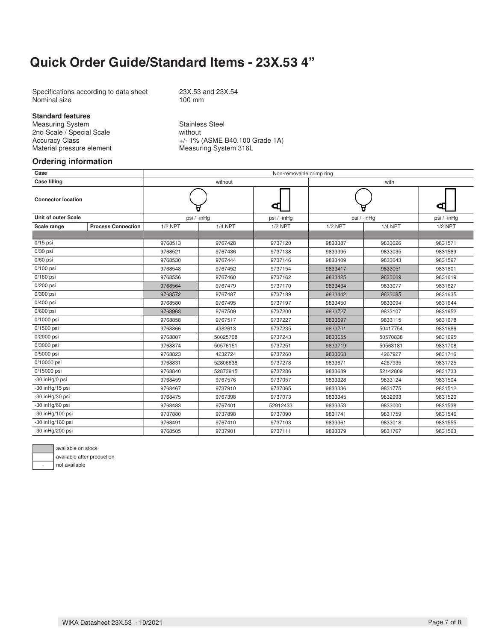### **Quick Order Guide/Standard Items - 23X.53 4"**

Specifications according to data sheet 23X.53 and 23X.54<br>Nominal size 100 mm Nominal size

#### **Standard features**

Measuring System<br>
2nd Scale / Special Scale<br>
2nd Scale<br>
3nd Scale<br>
3nd Scale<br>
3nd Scale<br>
3nd Scale<br>
3nd Scale<br>
3nd Scale<br>
3nd Scale<br>
3nd Scale<br>
3nd Scale<br>
3nd Scale<br>
3nd Scale<br>
3nd Scale<br>
3nd Scale<br>
3nd Scale<br>
3nd Scale<br>
3 2nd Scale / Special Scale<br>Accuracy Class Material pressure element

+/- 1% (ASME B40.100 Grade 1A)<br>Measuring System 316L

#### **Ordering information**

| Case                       |                           |           |                | Non-removable crimp ring |           |                |             |  |  |  |  |
|----------------------------|---------------------------|-----------|----------------|--------------------------|-----------|----------------|-------------|--|--|--|--|
| <b>Case filling</b>        |                           |           | without        |                          |           | with           |             |  |  |  |  |
| <b>Connector location</b>  |                           |           |                | ⊲₫                       |           | Φ              |             |  |  |  |  |
| <b>Unit of outer Scale</b> |                           |           | psi / -inHg    | psi / -inHg              |           | psi / -inHg    | psi / -inHg |  |  |  |  |
| Scale range                | <b>Process Connection</b> | $1/2$ NPT | <b>1/4 NPT</b> | $1/2$ NPT                | $1/2$ NPT | <b>1/4 NPT</b> | $1/2$ NPT   |  |  |  |  |
|                            |                           |           |                |                          |           |                |             |  |  |  |  |
| $0/15$ psi                 |                           | 9768513   | 9767428        | 9737120                  | 9833387   | 9833026        | 9831571     |  |  |  |  |
| $0/30$ psi                 |                           | 9768521   | 9767436        | 9737138                  | 9833395   | 9833035        | 9831589     |  |  |  |  |
| $0/60$ psi                 |                           | 9768530   | 9767444        | 9737146                  | 9833409   | 9833043        | 9831597     |  |  |  |  |
| $0/100$ psi                |                           | 9768548   | 9767452        | 9737154                  | 9833417   | 9833051        | 9831601     |  |  |  |  |
| $0/160$ psi                |                           | 9768556   | 9767460        | 9737162                  | 9833425   | 9833069        | 9831619     |  |  |  |  |
| $0/200$ psi                |                           | 9768564   | 9767479        | 9737170                  | 9833434   | 9833077        | 9831627     |  |  |  |  |
| 0/300 psi                  |                           | 9768572   | 9767487        | 9737189                  | 9833442   | 9833085        | 9831635     |  |  |  |  |
| $0/400$ psi                |                           | 9768580   | 9767495        | 9737197                  | 9833450   | 9833094        | 9831644     |  |  |  |  |
| 0/600 psi                  |                           | 9768963   | 9767509        | 9737200                  | 9833727   | 9833107        | 9831652     |  |  |  |  |
| 0/1000 psi                 |                           | 9768858   | 9767517        | 9737227                  | 9833697   | 9833115        | 9831678     |  |  |  |  |
| 0/1500 psi                 |                           | 9768866   | 4382613        | 9737235                  | 9833701   | 50417754       | 9831686     |  |  |  |  |
| 0/2000 psi                 |                           | 9768807   | 50025708       | 9737243                  | 9833655   | 50570838       | 9831695     |  |  |  |  |
| 0/3000 psi                 |                           | 9768874   | 50576151       | 9737251                  | 9833719   | 50563181       | 9831708     |  |  |  |  |
| 0/5000 psi                 |                           | 9768823   | 4232724        | 9737260                  | 9833663   | 4267927        | 9831716     |  |  |  |  |
| 0/10000 psi                |                           | 9768831   | 52806638       | 9737278                  | 9833671   | 4267935        | 9831725     |  |  |  |  |
| 0/15000 psi                |                           | 9768840   | 52873915       | 9737286                  | 9833689   | 52142809       | 9831733     |  |  |  |  |
| -30 inHg/0 psi             |                           | 9768459   | 9767576        | 9737057                  | 9833328   | 9833124        | 9831504     |  |  |  |  |
| $-30$ in Hg/15 psi         |                           | 9768467   | 9737910        | 9737065                  | 9833336   | 9831775        | 9831512     |  |  |  |  |
| $-30$ in Hg/30 psi         |                           | 9768475   | 9767398        | 9737073                  | 9833345   | 9832993        | 9831520     |  |  |  |  |
| $-30$ in Hg/60 psi         |                           | 9768483   | 9767401        | 52912433                 | 9833353   | 9833000        | 9831538     |  |  |  |  |
| -30 inHg/100 psi           |                           | 9737880   | 9737898        | 9737090                  | 9831741   | 9831759        | 9831546     |  |  |  |  |
| -30 inHg/160 psi           |                           | 9768491   | 9767410        | 9737103                  | 9833361   | 9833018        | 9831555     |  |  |  |  |
| -30 inHg/200 psi           |                           | 9768505   | 9737901        | 9737111                  | 9833379   | 9831767        | 9831563     |  |  |  |  |



available after production

not available